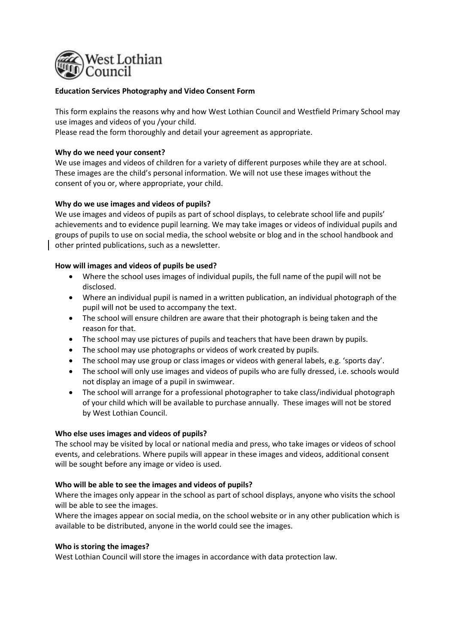

# **Education Services Photography and Video Consent Form**

This form explains the reasons why and how West Lothian Council and Westfield Primary School may use images and videos of you /your child.

Please read the form thoroughly and detail your agreement as appropriate.

# **Why do we need your consent?**

We use images and videos of children for a variety of different purposes while they are at school. These images are the child's personal information. We will not use these images without the consent of you or, where appropriate, your child.

# **Why do we use images and videos of pupils?**

We use images and videos of pupils as part of school displays, to celebrate school life and pupils' achievements and to evidence pupil learning. We may take images or videos of individual pupils and groups of pupils to use on social media, the school website or blog and in the school handbook and other printed publications, such as a newsletter.

#### **How will images and videos of pupils be used?**

- Where the school uses images of individual pupils, the full name of the pupil will not be disclosed.
- Where an individual pupil is named in a written publication, an individual photograph of the pupil will not be used to accompany the text.
- The school will ensure children are aware that their photograph is being taken and the reason for that.
- The school may use pictures of pupils and teachers that have been drawn by pupils.
- The school may use photographs or videos of work created by pupils.
- The school may use group or class images or videos with general labels, e.g. 'sports day'.
- The school will only use images and videos of pupils who are fully dressed, i.e. schools would not display an image of a pupil in swimwear.
- The school will arrange for a professional photographer to take class/individual photograph of your child which will be available to purchase annually. These images will not be stored by West Lothian Council.

# **Who else uses images and videos of pupils?**

The school may be visited by local or national media and press, who take images or videos of school events, and celebrations. Where pupils will appear in these images and videos, additional consent will be sought before any image or video is used.

# **Who will be able to see the images and videos of pupils?**

Where the images only appear in the school as part of school displays, anyone who visits the school will be able to see the images.

Where the images appear on social media, on the school website or in any other publication which is available to be distributed, anyone in the world could see the images.

#### **Who is storing the images?**

West Lothian Council will store the images in accordance with data protection law.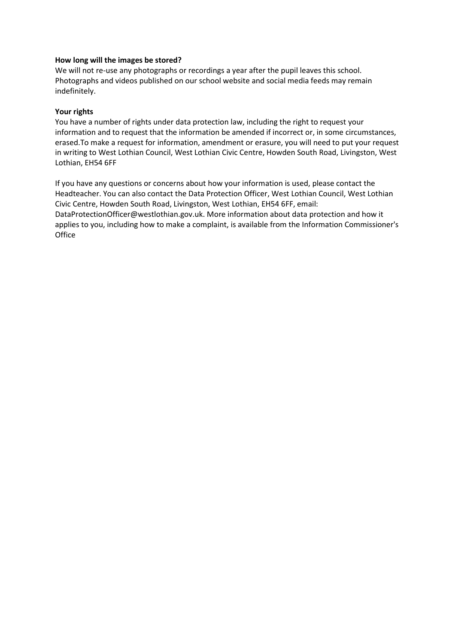# **How long will the images be stored?**

We will not re-use any photographs or recordings a year after the pupil leaves this school. Photographs and videos published on our school website and social media feeds may remain indefinitely.

# **Your rights**

You have a number of rights under data protection law, including the right to request your information and to request that the information be amended if incorrect or, in some circumstances, erased.To make a request for information, amendment or erasure, you will need to put your request in writing to West Lothian Council, West Lothian Civic Centre, Howden South Road, Livingston, West Lothian, EH54 6FF

If you have any questions or concerns about how your information is used, please contact the Headteacher. You can also contact the Data Protection Officer, West Lothian Council, West Lothian Civic Centre, Howden South Road, Livingston, West Lothian, EH54 6FF, email: DataProtectionOfficer@westlothian.gov.uk. More information about data protection and how it applies to you, including how to make a complaint, is available from the Information Commissioner's **Office**